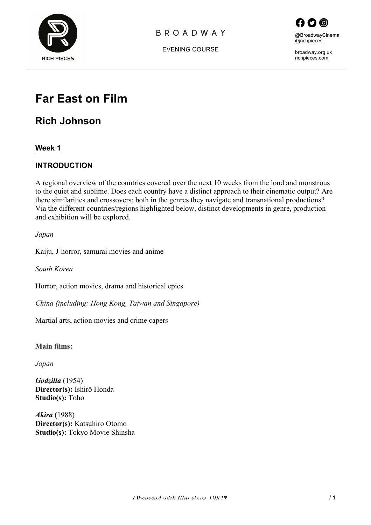

#### **BROADWAY**



EVENING COURSE

broadway.org.uk richpieces.com

# **Far East on Film**

## **Rich Johnson**

**Week 1**

#### **INTRODUCTION**

A regional overview of the countries covered over the next 10 weeks from the loud and monstrous to the quiet and sublime. Does each country have a distinct approach to their cinematic output? Are there similarities and crossovers; both in the genres they navigate and transnational productions? Via the different countries/regions highlighted below, distinct developments in genre, production and exhibition will be explored.

*Japan*

Kaiju, J-horror, samurai movies and anime

*South Korea*

Horror, action movies, drama and historical epics

*China (including: Hong Kong, Taiwan and Singapore)*

Martial arts, action movies and crime capers

#### **Main films:**

*Japan*

*Godzilla* (1954) **Director(s):** Ishirō Honda **Studio(s):** Toho

*Akira* (1988) **Director(s):** Katsuhiro Otomo **Studio(s):** Tokyo Movie Shinsha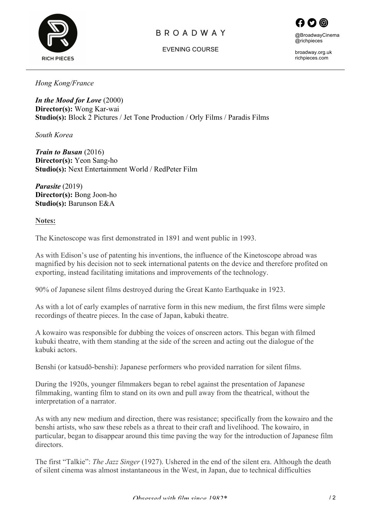

### **BROADWAY**





broadway.org.uk richpieces.com

*Hong Kong/France*

*In the Mood for Love* (2000) **Director(s):** Wong Kar-wai **Studio(s):** Block 2 Pictures / Jet Tone Production / Orly Films / Paradis Films

*South Korea*

*Train to Busan* (2016) **Director(s):** Yeon Sang-ho **Studio(s):** Next Entertainment World / RedPeter Film

*Parasite* (2019) **Director(s):** Bong Joon-ho **Studio(s):** Barunson E&A

**Notes:**

The Kinetoscope was first demonstrated in 1891 and went public in 1993.

As with Edison's use of patenting his inventions, the influence of the Kinetoscope abroad was magnified by his decision not to seek international patents on the device and therefore profited on exporting, instead facilitating imitations and improvements of the technology.

90% of Japanese silent films destroyed during the Great Kanto Earthquake in 1923.

As with a lot of early examples of narrative form in this new medium, the first films were simple recordings of theatre pieces. In the case of Japan, kabuki theatre.

A kowairo was responsible for dubbing the voices of onscreen actors. This began with filmed kubuki theatre, with them standing at the side of the screen and acting out the dialogue of the kabuki actors.

Benshi (or katsudō-benshi): Japanese performers who provided narration for silent films.

During the 1920s, younger filmmakers began to rebel against the presentation of Japanese filmmaking, wanting film to stand on its own and pull away from the theatrical, without the interpretation of a narrator.

As with any new medium and direction, there was resistance; specifically from the kowairo and the benshi artists, who saw these rebels as a threat to their craft and livelihood. The kowairo, in particular, began to disappear around this time paving the way for the introduction of Japanese film directors.

The first "Talkie": *The Jazz Singer* (1927). Ushered in the end of the silent era. Although the death of silent cinema was almost instantaneous in the West, in Japan, due to technical difficulties